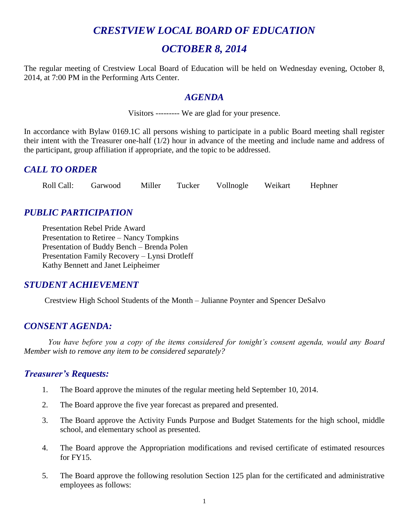# *CRESTVIEW LOCAL BOARD OF EDUCATION*

## *OCTOBER 8, 2014*

The regular meeting of Crestview Local Board of Education will be held on Wednesday evening, October 8, 2014, at 7:00 PM in the Performing Arts Center.

#### *AGENDA*

Visitors --------- We are glad for your presence.

In accordance with Bylaw 0169.1C all persons wishing to participate in a public Board meeting shall register their intent with the Treasurer one-half (1/2) hour in advance of the meeting and include name and address of the participant, group affiliation if appropriate, and the topic to be addressed.

#### *CALL TO ORDER*

Roll Call: Garwood Miller Tucker Vollnogle Weikart Hephner

## *PUBLIC PARTICIPATION*

Presentation Rebel Pride Award Presentation to Retiree – Nancy Tompkins Presentation of Buddy Bench – Brenda Polen Presentation Family Recovery – Lynsi Drotleff Kathy Bennett and Janet Leipheimer

## *STUDENT ACHIEVEMENT*

Crestview High School Students of the Month – Julianne Poynter and Spencer DeSalvo

## *CONSENT AGENDA:*

*You have before you a copy of the items considered for tonight's consent agenda, would any Board Member wish to remove any item to be considered separately?*

## *Treasurer's Requests:*

- 1. The Board approve the minutes of the regular meeting held September 10, 2014.
- 2. The Board approve the five year forecast as prepared and presented.
- 3. The Board approve the Activity Funds Purpose and Budget Statements for the high school, middle school, and elementary school as presented.
- 4. The Board approve the Appropriation modifications and revised certificate of estimated resources for FY15.
- 5. The Board approve the following resolution Section 125 plan for the certificated and administrative employees as follows: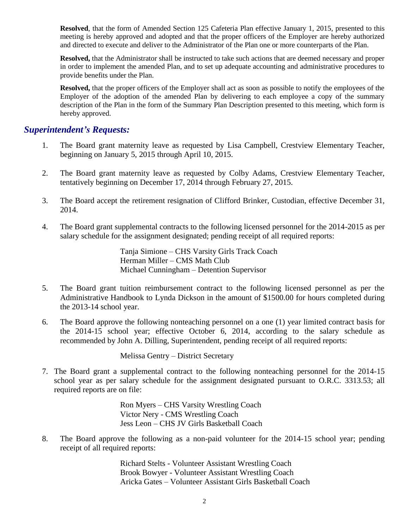**Resolved**, that the form of Amended Section 125 Cafeteria Plan effective January 1, 2015, presented to this meeting is hereby approved and adopted and that the proper officers of the Employer are hereby authorized and directed to execute and deliver to the Administrator of the Plan one or more counterparts of the Plan.

**Resolved,** that the Administrator shall be instructed to take such actions that are deemed necessary and proper in order to implement the amended Plan, and to set up adequate accounting and administrative procedures to provide benefits under the Plan.

**Resolved,** that the proper officers of the Employer shall act as soon as possible to notify the employees of the Employer of the adoption of the amended Plan by delivering to each employee a copy of the summary description of the Plan in the form of the Summary Plan Description presented to this meeting, which form is hereby approved.

#### *Superintendent's Requests:*

- 1. The Board grant maternity leave as requested by Lisa Campbell, Crestview Elementary Teacher, beginning on January 5, 2015 through April 10, 2015.
- 2. The Board grant maternity leave as requested by Colby Adams, Crestview Elementary Teacher, tentatively beginning on December 17, 2014 through February 27, 2015.
- 3. The Board accept the retirement resignation of Clifford Brinker, Custodian, effective December 31, 2014.
- 4. The Board grant supplemental contracts to the following licensed personnel for the 2014-2015 as per salary schedule for the assignment designated; pending receipt of all required reports:

Tanja Simione – CHS Varsity Girls Track Coach Herman Miller – CMS Math Club Michael Cunningham – Detention Supervisor

- 5. The Board grant tuition reimbursement contract to the following licensed personnel as per the Administrative Handbook to Lynda Dickson in the amount of \$1500.00 for hours completed during the 2013-14 school year.
- 6. The Board approve the following nonteaching personnel on a one (1) year limited contract basis for the 2014-15 school year; effective October 6, 2014, according to the salary schedule as recommended by John A. Dilling, Superintendent, pending receipt of all required reports:

Melissa Gentry – District Secretary

7. The Board grant a supplemental contract to the following nonteaching personnel for the 2014-15 school year as per salary schedule for the assignment designated pursuant to O.R.C. 3313.53; all required reports are on file:

> Ron Myers – CHS Varsity Wrestling Coach Victor Nery - CMS Wrestling Coach Jess Leon – CHS JV Girls Basketball Coach

8. The Board approve the following as a non-paid volunteer for the 2014-15 school year; pending receipt of all required reports:

> Richard Stelts - Volunteer Assistant Wrestling Coach Brook Bowyer - Volunteer Assistant Wrestling Coach Aricka Gates – Volunteer Assistant Girls Basketball Coach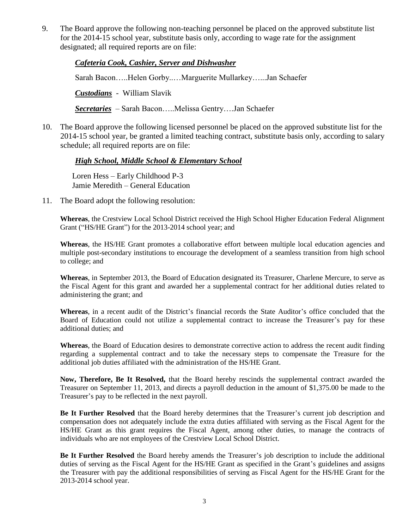9. The Board approve the following non-teaching personnel be placed on the approved substitute list for the 2014-15 school year, substitute basis only, according to wage rate for the assignment designated; all required reports are on file:

*Cafeteria Cook, Cashier, Server and Dishwasher* Sarah Bacon…..Helen Gorby..…Marguerite Mullarkey…...Jan Schaefer *Custodians* - William Slavik

*Secretaries* – Sarah Bacon…..Melissa Gentry….Jan Schaefer

10. The Board approve the following licensed personnel be placed on the approved substitute list for the 2014-15 school year, be granted a limited teaching contract, substitute basis only, according to salary schedule; all required reports are on file:

#### *High School, Middle School & Elementary School*

Loren Hess – Early Childhood P-3 Jamie Meredith – General Education

11. The Board adopt the following resolution:

**Whereas**, the Crestview Local School District received the High School Higher Education Federal Alignment Grant ("HS/HE Grant") for the 2013-2014 school year; and

**Whereas**, the HS/HE Grant promotes a collaborative effort between multiple local education agencies and multiple post-secondary institutions to encourage the development of a seamless transition from high school to college; and

**Whereas**, in September 2013, the Board of Education designated its Treasurer, Charlene Mercure, to serve as the Fiscal Agent for this grant and awarded her a supplemental contract for her additional duties related to administering the grant; and

**Whereas**, in a recent audit of the District's financial records the State Auditor's office concluded that the Board of Education could not utilize a supplemental contract to increase the Treasurer's pay for these additional duties; and

**Whereas**, the Board of Education desires to demonstrate corrective action to address the recent audit finding regarding a supplemental contract and to take the necessary steps to compensate the Treasure for the additional job duties affiliated with the administration of the HS/HE Grant.

**Now, Therefore, Be It Resolved,** that the Board hereby rescinds the supplemental contract awarded the Treasurer on September 11, 2013, and directs a payroll deduction in the amount of \$1,375.00 be made to the Treasurer's pay to be reflected in the next payroll.

**Be It Further Resolved** that the Board hereby determines that the Treasurer's current job description and compensation does not adequately include the extra duties affiliated with serving as the Fiscal Agent for the HS/HE Grant as this grant requires the Fiscal Agent, among other duties, to manage the contracts of individuals who are not employees of the Crestview Local School District.

**Be It Further Resolved** the Board hereby amends the Treasurer's job description to include the additional duties of serving as the Fiscal Agent for the HS/HE Grant as specified in the Grant's guidelines and assigns the Treasurer with pay the additional responsibilities of serving as Fiscal Agent for the HS/HE Grant for the 2013-2014 school year.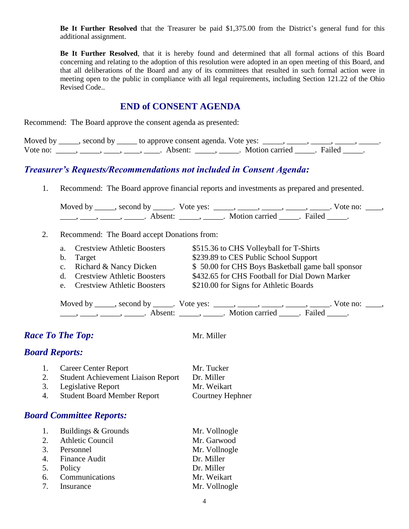**Be It Further Resolved** that the Treasurer be paid \$1,375.00 from the District's general fund for this additional assignment.

**Be It Further Resolved**, that it is hereby found and determined that all formal actions of this Board concerning and relating to the adoption of this resolution were adopted in an open meeting of this Board, and that all deliberations of the Board and any of its committees that resulted in such formal action were in meeting open to the public in compliance with all legal requirements, including Section 121.22 of the Ohio Revised Code..

#### **END of CONSENT AGENDA**

Recommend: The Board approve the consent agenda as presented:

|          | Moved by _____, second by _____ to approve consent agenda. Vote yes: |                       |  |
|----------|----------------------------------------------------------------------|-----------------------|--|
| Vote no: | Absent:                                                              | Motion carried Failed |  |

#### *Treasurer's Requests/Recommendations not included in Consent Agenda:*

1. Recommend: The Board approve financial reports and investments as prepared and presented.

Moved by \_\_\_\_\_, second by \_\_\_\_\_. Vote yes:  $\_\_\_\_\_\_\_\_\_\_\_\_\_\_\_$  \_\_\_\_\_, \_\_\_\_\_, \_\_\_\_\_. Vote no:  $\_\_\_\_\_\_\$ \_\_\_\_\_, \_\_\_\_\_\_, \_\_\_\_\_\_\_. Absent: \_\_\_\_\_\_, \_\_\_\_\_\_. Motion carried \_\_\_\_\_\_. Failed \_\_\_\_\_.

2. Recommend: The Board accept Donations from:

| a. Crestview Athletic Boosters | \$515.36 to CHS Volleyball for T-Shirts           |
|--------------------------------|---------------------------------------------------|
| b. Target                      | \$239.89 to CES Public School Support             |
| c. Richard & Nancy Dicken      | \$50.00 for CHS Boys Basketball game ball sponsor |
| d. Crestview Athletic Boosters | \$432.65 for CHS Football for Dial Down Marker    |
| e. Crestview Athletic Boosters | \$210.00 for Signs for Athletic Boards            |
|                                |                                                   |

Moved by \_\_\_\_\_, second by \_\_\_\_\_. Vote yes: \_\_\_\_\_, \_\_\_\_\_, \_\_\_\_\_, \_\_\_\_\_, \_\_\_\_\_. Vote no: \_\_\_\_,  $\frac{1}{\sqrt{2\pi}}$ ,  $\frac{1}{\sqrt{2\pi}}$ ,  $\frac{1}{\sqrt{2\pi}}$ ,  $\frac{1}{\sqrt{2\pi}}$ ,  $\frac{1}{\sqrt{2\pi}}$ ,  $\frac{1}{\sqrt{2\pi}}$ ,  $\frac{1}{\sqrt{2\pi}}$ ,  $\frac{1}{\sqrt{2\pi}}$ ,  $\frac{1}{\sqrt{2\pi}}$ ,  $\frac{1}{\sqrt{2\pi}}$ ,  $\frac{1}{\sqrt{2\pi}}$ 

## *Race To The Top:* Mr. Miller

#### *Board Reports:*

|    | 1. Career Center Report                   | Mr. Tucker       |
|----|-------------------------------------------|------------------|
| 2. | <b>Student Achievement Liaison Report</b> | Dr. Miller       |
|    | 3. Legislative Report                     | Mr. Weikart      |
|    | 4. Student Board Member Report            | Courtney Hephner |

#### *Board Committee Reports:*

| 1. | Buildings & Grounds | Mr. Vollnogle |
|----|---------------------|---------------|
|    | 2. Athletic Council | Mr. Garwood   |
|    | 3. Personnel        | Mr. Vollnogle |
|    | 4. Finance Audit    | Dr. Miller    |
|    | 5. Policy           | Dr. Miller    |
| 6. | Communications      | Mr. Weikart   |
|    | 7. Insurance        | Mr. Vollnogle |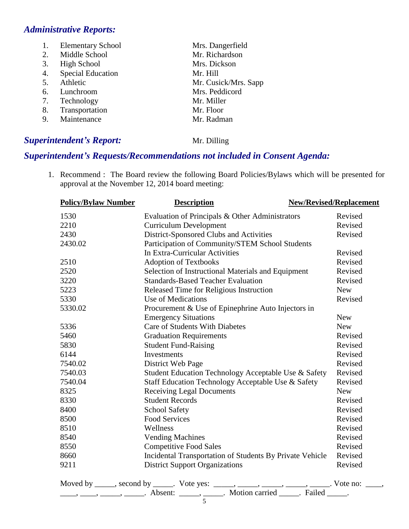#### *Administrative Reports:*

| 1. | <b>Elementary School</b> | Mrs. Dangerfield     |
|----|--------------------------|----------------------|
| 2. | Middle School            | Mr. Richardson       |
| 3. | High School              | Mrs. Dickson         |
| 4. | <b>Special Education</b> | Mr. Hill             |
| 5. | Athletic                 | Mr. Cusick/Mrs. Sapp |
| 6. | Lunchroom                | Mrs. Peddicord       |
| 7. | Technology               | Mr. Miller           |
| 8. | Transportation           | Mr. Floor            |
| 9. | Maintenance              | Mr. Radman           |
|    |                          |                      |

#### *Superintendent's Report:* Mr. Dilling

## *Superintendent's Requests/Recommendations not included in Consent Agenda:*

1. Recommend : The Board review the following Board Policies/Bylaws which will be presented for approval at the November 12, 2014 board meeting:

| <b>Policy/Bylaw Number</b>                   | <b>Description</b>                                       | <b>New/Revised/Replacement</b> |
|----------------------------------------------|----------------------------------------------------------|--------------------------------|
| 1530                                         | Evaluation of Principals & Other Administrators          | Revised                        |
| 2210                                         | <b>Curriculum Development</b>                            | Revised                        |
| 2430                                         | District-Sponsored Clubs and Activities                  | Revised                        |
| 2430.02                                      | Participation of Community/STEM School Students          |                                |
|                                              | In Extra-Curricular Activities                           | Revised                        |
| 2510                                         | <b>Adoption of Textbooks</b>                             | Revised                        |
| 2520                                         | Selection of Instructional Materials and Equipment       | Revised                        |
| 3220                                         | <b>Standards-Based Teacher Evaluation</b>                | Revised                        |
| 5223                                         | Released Time for Religious Instruction                  | <b>New</b>                     |
| 5330                                         | Use of Medications                                       | Revised                        |
| 5330.02                                      | Procurement & Use of Epinephrine Auto Injectors in       |                                |
|                                              | <b>Emergency Situations</b>                              | <b>New</b>                     |
| 5336                                         | <b>Care of Students With Diabetes</b>                    | <b>New</b>                     |
| 5460                                         | <b>Graduation Requirements</b>                           | Revised                        |
| 5830                                         | <b>Student Fund-Raising</b>                              | Revised                        |
| 6144                                         | Investments                                              | Revised                        |
| 7540.02                                      | District Web Page                                        | Revised                        |
| 7540.03                                      | Student Education Technology Acceptable Use & Safety     | Revised                        |
| 7540.04                                      | Staff Education Technology Acceptable Use & Safety       | Revised                        |
| 8325                                         | <b>Receiving Legal Documents</b>                         | <b>New</b>                     |
| 8330                                         | <b>Student Records</b>                                   | Revised                        |
| 8400                                         | <b>School Safety</b>                                     | Revised                        |
| 8500                                         | <b>Food Services</b>                                     | Revised                        |
| 8510                                         | Wellness                                                 | Revised                        |
| 8540                                         | <b>Vending Machines</b>                                  | Revised                        |
| 8550                                         | <b>Competitive Food Sales</b>                            | Revised                        |
| 8660                                         | Incidental Transportation of Students By Private Vehicle | Revised                        |
| 9211                                         | <b>District Support Organizations</b>                    | Revised                        |
| Moved by ______, second by ______. Vote yes: |                                                          | Vote no:                       |

| Absent <sup>.</sup> | Motion carried | Failed |
|---------------------|----------------|--------|